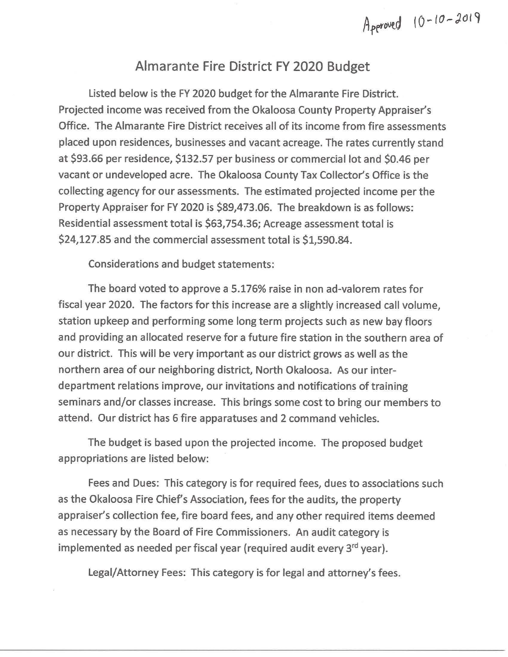$A_{peroved}$   $10 - 10 - 2019$ 

## Almarante Fire District FY 2020 Budget

Listed below is the FY 2020 budget for the Almarante Fire District. Projected income was received from the Okaloosa County Property Appraiser's Office. The Almarante Fire District receives all of its income from fire assessments placed upon residences, businesses and vacant acreage. The rates currently stand at \$93.66 per residence, \$132.57 per business or commercial lot and \$0.46 per vacant or undeveloped acre. The Okaloosa County Tax Collector's Office is the collecting agency for our assessments. The estimated projected income per the Property Appraiser for FY 2020 is \$[89,473.06](https://89,473.06). The breakdown is as follows: Residential assessment total is \$[63,754.36](https://63,754.36); Acreage assessment total is \$[24,127.85](https://24,127.85) and the commercial assessment total is \$[1,590.84](https://1,590.84).

Considerations and budget statements:

The board voted to approve a 5.176% raise in non ad-valorem rates for fiscal year 2020. The factors for this increase are a slightly increased call volume, station upkeep and performing some long term projects such as new bay floors and providing an allocated reserve for a future fire station in the southern area of our district. This will be very important as our district grows as well as the northern area of our neighboring district, North Okaloosa. As our interdepartment relations improve, our invitations and notifications of training seminars and/or classes increase. This brings some cost to bring our members to attend. Our district has 6 fire apparatuses and 2 command vehicles.

The budget is based upon the projected income. The proposed budget appropriations are listed below:

Fees and Dues: This category is for required fees, dues to associations such as the Okaloosa Fire Chief's Association, fees for the audits, the property appraiser's collection fee, fire board fees, and any other required items deemed as necessary by the Board of Fire Commissioners. An audit category is implemented as needed per fiscal year (required audit every 3<sup>rd</sup> year).

Legal/Attorney Fees: This category is for legal and attorney's fees.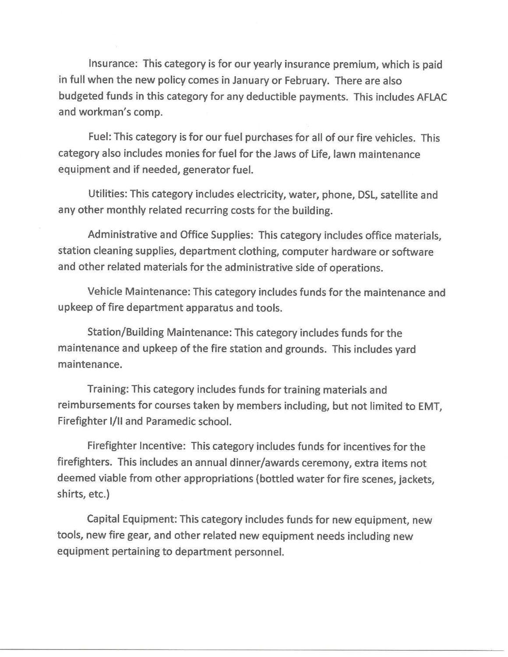Insurance: This category is for our yearly insurance premium, which is paid in full when the new policy comes in January or February. There are also budgeted funds in this category for any deductible payments. This includes AFLAC and workman's comp.

Fuel: This category is for our fuel purchases for all of our fire vehicles. This category also includes monies for fuel for the Jaws of Life, lawn maintenance equipment and if needed, generator fuel.

Utilities: This category includes electricity, water, phone, DSL, satellite and any other monthly related recurring costs for the building.

Administrative and Office Supplies: This category includes office materials, station cleaning supplies, department clothing, computer hardware or software and other related materials for the administrative side of operations.

Vehicle Maintenance: This category includes funds for the maintenance and upkeep of fire department apparatus and tools.

Station/Building Maintenance: This category includes funds for the maintenance and upkeep of the fire station and grounds. This includes yard maintenance.

Training: This category includes funds for training materials and reimbursements for courses taken by members including, but not limited to EMT, Firefighter 1/11 and Paramedic school.

Firefighter Incentive: This category includes funds for incentives for the firefighters. This includes an annual dinner/awards ceremony, extra items not deemed viable from other appropriations (bottled water for fire scenes, jackets, shirts, etc.)

Capital Equipment: This category includes funds for new equipment, new tools, new fire gear, and other related new equipment needs including new equipment pertaining to department personnel.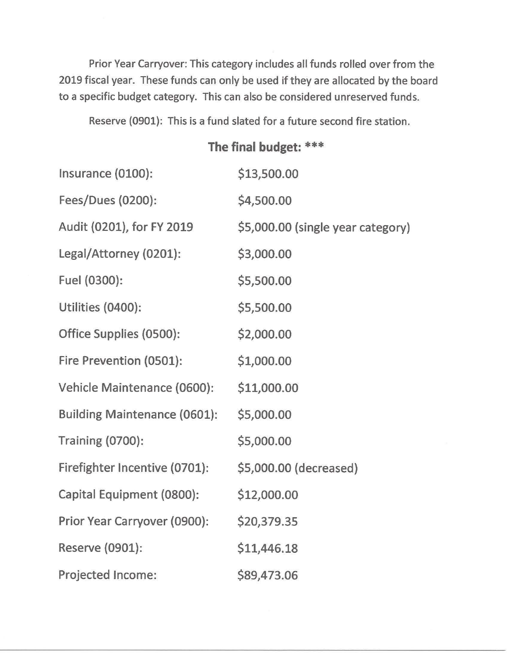Prior Year Carryover: This category includes all funds rolled over from the 2019 fiscal year. These funds can only be used if they are allocated by the board to a specific budget category. This can also be considered unreserved funds.

Reserve (0901): This is a fund slated for a future second fire station.

## **The final budget:** \*\*\*

| Insurance (0100):                   | \$13,500.00                       |
|-------------------------------------|-----------------------------------|
| Fees/Dues (0200):                   | \$4,500.00                        |
| Audit (0201), for FY 2019           | \$5,000.00 (single year category) |
| Legal/Attorney (0201):              | \$3,000.00                        |
| Fuel (0300):                        | \$5,500.00                        |
| Utilities (0400):                   | \$5,500.00                        |
| Office Supplies (0500):             | \$2,000.00                        |
| Fire Prevention (0501):             | \$1,000.00                        |
| Vehicle Maintenance (0600):         | \$11,000.00                       |
| <b>Building Maintenance (0601):</b> | \$5,000.00                        |
| <b>Training (0700):</b>             | \$5,000.00                        |
| Firefighter Incentive (0701):       | \$5,000.00 (decreased)            |
| Capital Equipment (0800):           | \$12,000.00                       |
| Prior Year Carryover (0900):        | \$20,379.35                       |
| Reserve (0901):                     | \$11,446.18                       |
| Projected Income:                   | \$89,473.06                       |